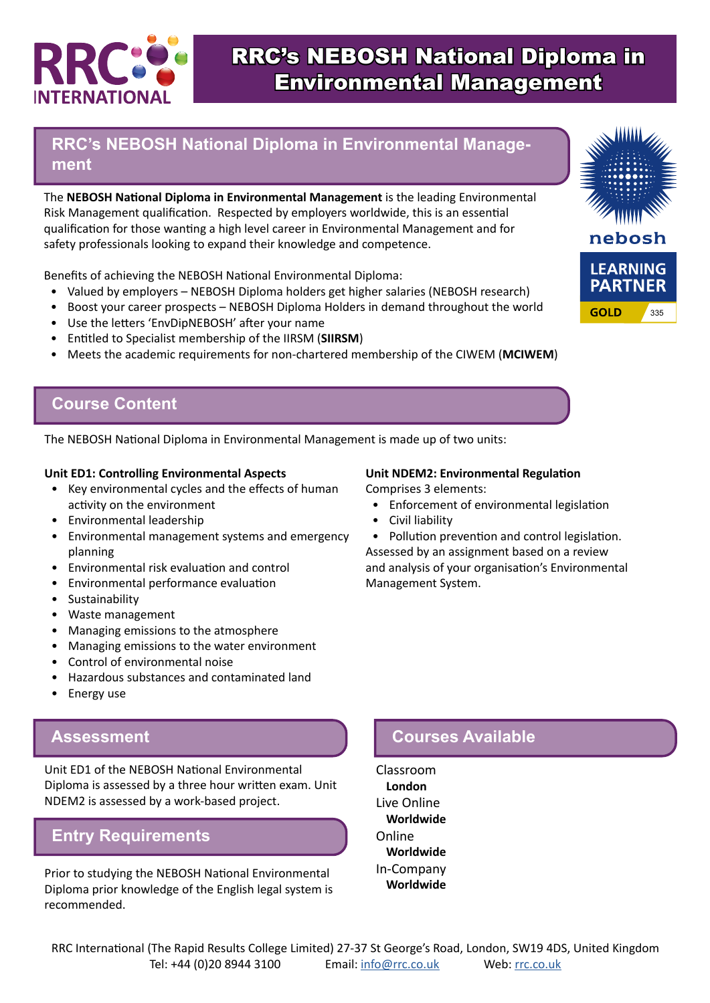

# RRC's NEBOSH National Diploma in Environmental Management

## **RRC's NEBOSH National Diploma in Environmental Management**

The **NEBOSH National Diploma in Environmental Management** is the leading Environmental Risk Management qualification. Respected by employers worldwide, this is an essential qualification for those wanting a high level career in Environmental Management and for safety professionals looking to expand their knowledge and competence.

Benefits of achieving the NEBOSH National Environmental Diploma:

- Valued by employers NEBOSH Diploma holders get higher salaries (NEBOSH research)
- Boost your career prospects NEBOSH Diploma Holders in demand throughout the world
- Use the letters 'EnvDipNEBOSH' after your name
- Entitled to Specialist membership of the IIRSM (**SIIRSM**)
- Meets the academic requirements for non-chartered membership of the CIWEM (**MCIWEM**)

### **Course Content**

The NEBOSH National Diploma in Environmental Management is made up of two units:

#### **Unit ED1: Controlling Environmental Aspects**

- Key environmental cycles and the effects of human activity on the environment
- Environmental leadership
- Environmental management systems and emergency planning
- Environmental risk evaluation and control
- Environmental performance evaluation
- Sustainability
- Waste management
- Managing emissions to the atmosphere
- Managing emissions to the water environment
- Control of environmental noise
- Hazardous substances and contaminated land
- Energy use

#### **Assessment**

Unit ED1 of the NEBOSH National Environmental Diploma is assessed by a three hour written exam. Unit NDEM2 is assessed by a work-based project.

### **Entry Requirements**

Prior to studying the NEBOSH National Environmental Diploma prior knowledge of the English legal system is recommended.

#### **Unit NDEM2: Environmental Regulation**

Comprises 3 elements:

- Enforcement of environmental legislation
- Civil liability
- Pollution prevention and control legislation. Assessed by an assignment based on a review

and analysis of your organisation's Environmental Management System.

# **Courses Available**

Classroom **London** Live Online **Worldwide** Online **Worldwide** In-Company **Worldwide**

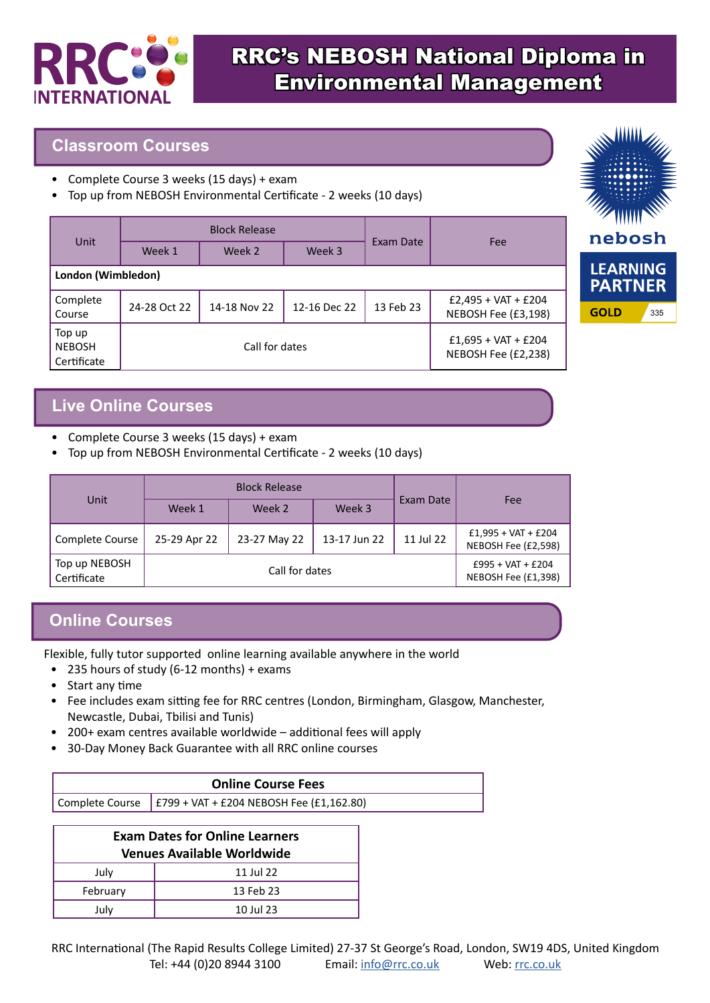

# RRC's NEBOSH National Diploma in Environmental Management

### **Classroom Courses**

- Complete Course 3 weeks (15 days) + exam
- Top up from NEBOSH Environmental Certificate 2 weeks (10 days)

| <b>Unit</b>                            | <b>Block Release</b> |              |              |                                              |                                              |
|----------------------------------------|----------------------|--------------|--------------|----------------------------------------------|----------------------------------------------|
|                                        | Week 1               | Week 2       | Week 3       | Exam Date                                    | Fee                                          |
| London (Wimbledon)                     |                      |              |              |                                              |                                              |
| Complete<br>Course                     | 24-28 Oct 22         | 14-18 Nov 22 | 12-16 Dec 22 | 13 Feb 23                                    | $E2,495 + VAT + E204$<br>NEBOSH Fee (£3,198) |
| Top up<br><b>NEBOSH</b><br>Certificate | Call for dates       |              |              | $£1,695 + VAT + £204$<br>NEBOSH Fee (£2,238) |                                              |



# **Live Online Courses**

- Complete Course 3 weeks (15 days) + exam
- Top up from NEBOSH Environmental Certificate 2 weeks (10 days)

|                              |                | <b>Block Release</b> |              |           |                                              |
|------------------------------|----------------|----------------------|--------------|-----------|----------------------------------------------|
| Unit                         | Week 1         | Week 2               | Week 3       | Exam Date | Fee                                          |
| Complete Course              | 25-29 Apr 22   | 23-27 May 22         | 13-17 Jun 22 | 11 Jul 22 | $£1,995 + VAT + £204$<br>NEBOSH Fee (£2,598) |
| Top up NEBOSH<br>Certificate | Call for dates |                      |              |           | $£995 + VAT + £204$<br>NEBOSH Fee (£1,398)   |

# **Online Courses**

Flexible, fully tutor supported online learning available anywhere in the world

- 235 hours of study (6-12 months) + exams
- Start any time
- Fee includes exam sitting fee for RRC centres (London, Birmingham, Glasgow, Manchester, Newcastle, Dubai, Tbilisi and Tunis)
- 200+ exam centres available worldwide additional fees will apply
- 30-Day Money Back Guarantee with all RRC online courses

| <b>Online Course Fees</b> |                                                                  |  |
|---------------------------|------------------------------------------------------------------|--|
|                           | Complete Course $\Big $ £799 + VAT + £204 NEBOSH Fee (£1,162.80) |  |

| <b>Exam Dates for Online Learners</b> |           |  |  |
|---------------------------------------|-----------|--|--|
| <b>Venues Available Worldwide</b>     |           |  |  |
| July                                  | 11 Jul 22 |  |  |
| February                              | 13 Feb 23 |  |  |
| July                                  | 10 Jul 23 |  |  |